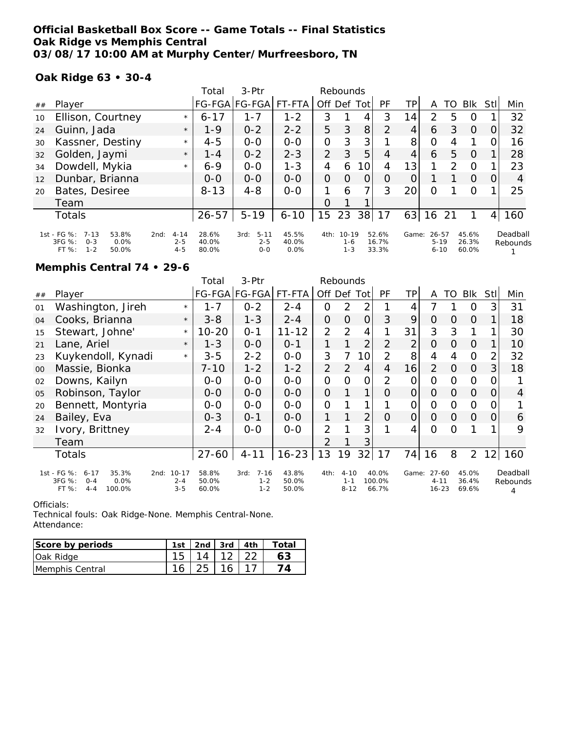## **Official Basketball Box Score -- Game Totals -- Final Statistics Oak Ridge vs Memphis Central 03/08/17 10:00 AM at Murphy Center/Murfreesboro, TN**

### **Oak Ridge 63 • 30-4**

|    |                                                              |                             | Total          | $3-Ptr$                     |                | Rebounds       |                      |       |                |       |                       |    |                |      |          |
|----|--------------------------------------------------------------|-----------------------------|----------------|-----------------------------|----------------|----------------|----------------------|-------|----------------|-------|-----------------------|----|----------------|------|----------|
| ## | Player                                                       |                             |                | FG-FGA FG-FGA               | FT-FTA         | Off Def        |                      | Tot I | PF             | TР    | A                     | TO | <b>BIK</b>     | Stll | Min      |
| 10 | Ellison, Courtney                                            | $\star$                     | $6 - 17$       | 1-7                         | $1 - 2$        | 3              |                      | 4     | 3              | 14    | 2                     | 5  | O              |      | 32       |
| 24 | Guinn, Jada                                                  | $\star$                     | $1 - 9$        | $0 - 2$                     | $2 - 2$        | 5              | 3                    | 8     | 2              | 4     | 6                     | 3  | $\Omega$       |      | 32       |
| 30 | Kassner, Destiny                                             | $\star$                     | $4 - 5$        | $0 - 0$                     | $0 - 0$        | 0              | 3                    | 3     |                | 8     | O                     | 4  |                |      | 16       |
| 32 | Golden, Jaymi                                                | $\star$                     | $1 - 4$        | $0 - 2$                     | $2 - 3$        | $\overline{2}$ | 3                    | 5     | $\overline{4}$ | 4     | 6                     | 5  | $\Omega$       |      | 28       |
| 34 | Dowdell, Mykia                                               | $\star$                     | $6 - 9$        | $0 - 0$                     | $1 - 3$        | 4              | 6                    | 10    | 4              | 13    |                       | 2  | O              |      | 23       |
| 12 | Dunbar, Brianna                                              |                             | $O-O$          | $0 - 0$                     | $0 - 0$        | $\overline{O}$ | $\Omega$             | 0     | O              |       |                       |    | $\circ$        |      | 4        |
| 20 | Bates, Desiree                                               |                             | $8 - 13$       | $4 - 8$                     | $0 - 0$        |                | 6                    | 7     | 3              | 20    | Ω                     |    | Ω              |      | 25       |
|    | Team                                                         |                             |                |                             |                | O              |                      |       |                |       |                       |    |                |      |          |
|    | <b>Totals</b>                                                |                             | $26 - 57$      | $5 - 19$                    | $6 - 10$       | 15             | 23                   | 38    | 17             | 63    | 16                    | 21 |                | 4    | 160      |
|    | 1st - FG %:<br>7-13<br>53.8%<br>3FG %:<br>$0 - 3$<br>$0.0\%$ | $4 - 14$<br>2nd:<br>$2 - 5$ | 28.6%<br>40.0% | $5 - 11$<br>3rd:<br>$2 - 5$ | 45.5%<br>40.0% | 4th:           | $10 - 19$<br>$1 - 6$ |       | 52.6%<br>16.7% | Game: | $26 - 57$<br>$5 - 19$ |    | 45.6%<br>26.3% |      | Deadball |
|    | $1 - 2$<br>$FT%$ :<br>50.0%                                  | $4 - 5$                     | 80.0%          | $O - O$                     | 0.0%           |                | $1 - 3$              |       | 33.3%          |       | $6 - 10$              |    | 60.0%          |      | Rebounds |

### **Memphis Central 74 • 29-6**

|    |                                                                                                     |                                 | Total                   | 3-Ptr                                  |                         |                | Rebounds                        |                |                          |                |                                    |          |                         |                |                           |
|----|-----------------------------------------------------------------------------------------------------|---------------------------------|-------------------------|----------------------------------------|-------------------------|----------------|---------------------------------|----------------|--------------------------|----------------|------------------------------------|----------|-------------------------|----------------|---------------------------|
| ## | Player                                                                                              |                                 |                         | FG-FGA FG-FGA                          | FT-FTA                  | Off Def Tot    |                                 |                | PF                       | ΤP             | A                                  | TO       | <b>Blk</b>              | Stll           | Min                       |
| 01 | Washington, Jireh                                                                                   | $\star$                         | $1 - 7$                 | $0 - 2$                                | $2 - 4$                 | $\mathcal{O}$  | $\overline{2}$                  | $\overline{2}$ |                          | 4              | 7                                  |          | O                       | 3              | 31                        |
| 04 | Cooks, Brianna                                                                                      | $\star$                         | $3 - 8$                 | $1 - 3$                                | $2 - 4$                 | 0              | $\overline{O}$                  | $\overline{O}$ | 3                        | 9              | $\overline{O}$                     | Ο        | 0                       |                | 18                        |
| 15 | Stewart, Johne'                                                                                     | $\star$                         | $10 - 20$               | $0 - 1$                                | $11 - 12$               | $\overline{2}$ | 2                               | 4              |                          | 31             | 3                                  | 3        |                         |                | 30                        |
| 21 | Lane, Ariel                                                                                         | $\star$                         | $1 - 3$                 | $0 - 0$                                | $0 - 1$                 | 1              |                                 | $\overline{2}$ | $\overline{2}$           | 2              | $\Omega$                           | 0        | O                       |                | 10                        |
| 23 | Kuykendoll, Kynadi                                                                                  | $\star$                         | $3 - 5$                 | $2 - 2$                                | $O-O$                   | 3              | 7                               | 10             | $\overline{2}$           | 8              | 4                                  | 4        | $\Omega$                | $\overline{2}$ | 32                        |
| 00 | Massie, Bionka                                                                                      |                                 | $7 - 10$                | $1 - 2$                                | $1 - 2$                 | $\overline{2}$ | 2                               | $\overline{4}$ | 4                        | 16             | 2                                  | 0        | $\overline{O}$          | 3 <sup>1</sup> | 18                        |
| 02 | Downs, Kailyn                                                                                       |                                 | $O-O$                   | $0 - 0$                                | $0 - 0$                 | $\mathbf{O}$   | O                               | $\mathcal{O}$  | 2                        | 0              | 0                                  | Ο        | $\Omega$                | 0              |                           |
| 05 | Robinson, Taylor                                                                                    |                                 | $0 - 0$                 | $O-O$                                  | $0-0$                   | $\overline{O}$ |                                 | 1              | 0                        | $\overline{O}$ | $\overline{O}$                     | 0        | $\Omega$                | 0              | $\overline{4}$            |
| 20 | Bennett, Montyria                                                                                   |                                 | $0 - 0$                 | $0 - 0$                                | $0-0$                   | $\mathcal{O}$  |                                 | $\mathbf{1}$   |                          | $\overline{O}$ | $\Omega$                           | 0        | $\Omega$                | 0              |                           |
| 24 | Bailey, Eva                                                                                         |                                 | $0 - 3$                 | $0 - 1$                                | $0 - 0$                 | 1              |                                 | 2              | $\Omega$                 | $\overline{O}$ | $\Omega$                           | $\Omega$ | $\Omega$                | O              | 6                         |
| 32 | Ivory, Brittney                                                                                     |                                 | $2 - 4$                 | $0 - 0$                                | $0 - 0$                 | $\overline{2}$ |                                 | 3              |                          | 4              | $\Omega$                           | Ω        |                         |                | 9                         |
|    | Team                                                                                                |                                 |                         |                                        |                         | 2              |                                 | 3              |                          |                |                                    |          |                         |                |                           |
|    | Totals                                                                                              |                                 | $27 - 60$               | $4 - 11$                               | $16 - 23$               | 13             | 19                              | 32             | 17                       | 74             | 16                                 | 8        | 2                       | 12             | 160                       |
|    | 1st - FG %:<br>35.3%<br>$6 - 17$<br>2nd:<br>3FG %:<br>$O - 4$<br>0.0%<br>FT %:<br>100.0%<br>$4 - 4$ | $10 - 17$<br>$2 - 4$<br>$3 - 5$ | 58.8%<br>50.0%<br>60.0% | $7 - 16$<br>3rd:<br>$1 - 2$<br>$1 - 2$ | 43.8%<br>50.0%<br>50.0% | 4th:           | $4 - 10$<br>$1 - 1$<br>$8 - 12$ |                | 40.0%<br>100.0%<br>66.7% | Game:          | $27 - 60$<br>$4 - 11$<br>$16 - 23$ |          | 45.0%<br>36.4%<br>69.6% |                | Deadball<br>Rebounds<br>4 |

#### Officials:

Technical fouls: Oak Ridge-None. Memphis Central-None. Attendance:

| Score by periods | 1st | . 2nd ' | 3rd   4th | Totai |
|------------------|-----|---------|-----------|-------|
| Oak Ridge        |     |         |           |       |
| Memphis Central  |     |         |           |       |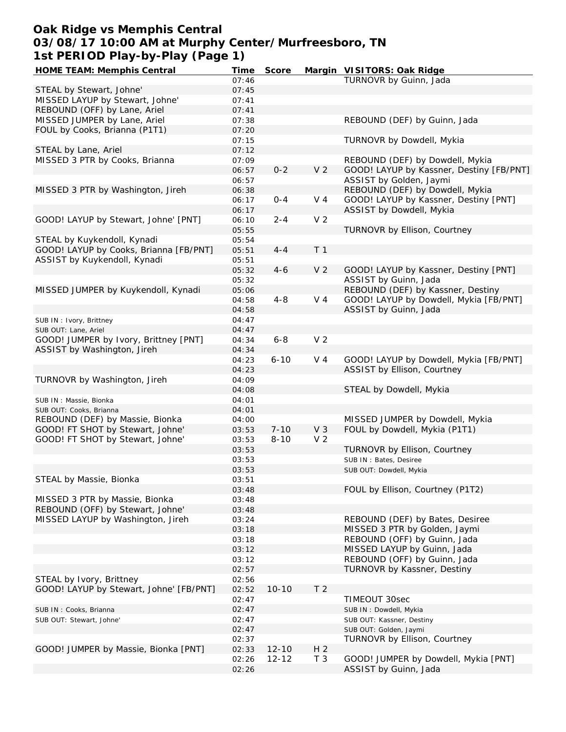## **Oak Ridge vs Memphis Central 03/08/17 10:00 AM at Murphy Center/Murfreesboro, TN 1st PERIOD Play-by-Play (Page 1)**

| HOME TEAM: Memphis Central              | Time  | Score     |                | Margin VISITORS: Oak Ridge               |
|-----------------------------------------|-------|-----------|----------------|------------------------------------------|
|                                         | 07:46 |           |                | TURNOVR by Guinn, Jada                   |
| STEAL by Stewart, Johne'                | 07:45 |           |                |                                          |
| MISSED LAYUP by Stewart, Johne'         | 07:41 |           |                |                                          |
|                                         |       |           |                |                                          |
| REBOUND (OFF) by Lane, Ariel            | 07:41 |           |                |                                          |
| MISSED JUMPER by Lane, Ariel            | 07:38 |           |                | REBOUND (DEF) by Guinn, Jada             |
| FOUL by Cooks, Brianna (P1T1)           | 07:20 |           |                |                                          |
|                                         | 07:15 |           |                | TURNOVR by Dowdell, Mykia                |
| STEAL by Lane, Ariel                    | 07:12 |           |                |                                          |
| MISSED 3 PTR by Cooks, Brianna          | 07:09 |           |                | REBOUND (DEF) by Dowdell, Mykia          |
|                                         | 06:57 | $0 - 2$   | V <sub>2</sub> | GOOD! LAYUP by Kassner, Destiny [FB/PNT] |
|                                         | 06:57 |           |                | ASSIST by Golden, Jaymi                  |
| MISSED 3 PTR by Washington, Jireh       | 06:38 |           |                | REBOUND (DEF) by Dowdell, Mykia          |
|                                         | 06:17 | $0 - 4$   | V 4            | GOOD! LAYUP by Kassner, Destiny [PNT]    |
|                                         |       |           |                |                                          |
|                                         | 06:17 |           |                | ASSIST by Dowdell, Mykia                 |
| GOOD! LAYUP by Stewart, Johne' [PNT]    | 06:10 | $2 - 4$   | V <sub>2</sub> |                                          |
|                                         | 05:55 |           |                | TURNOVR by Ellison, Courtney             |
| STEAL by Kuykendoll, Kynadi             | 05:54 |           |                |                                          |
| GOOD! LAYUP by Cooks, Brianna [FB/PNT]  | 05:51 | $4 - 4$   | T <sub>1</sub> |                                          |
| ASSIST by Kuykendoll, Kynadi            | 05:51 |           |                |                                          |
|                                         | 05:32 | $4 - 6$   | V <sub>2</sub> | GOOD! LAYUP by Kassner, Destiny [PNT]    |
|                                         | 05:32 |           |                | ASSIST by Guinn, Jada                    |
| MISSED JUMPER by Kuykendoll, Kynadi     | 05:06 |           |                | REBOUND (DEF) by Kassner, Destiny        |
|                                         |       |           |                |                                          |
|                                         | 04:58 | $4 - 8$   | V 4            | GOOD! LAYUP by Dowdell, Mykia [FB/PNT]   |
|                                         | 04:58 |           |                | ASSIST by Guinn, Jada                    |
| SUB IN: Ivory, Brittney                 | 04:47 |           |                |                                          |
| SUB OUT: Lane, Ariel                    | 04:47 |           |                |                                          |
| GOOD! JUMPER by Ivory, Brittney [PNT]   | 04:34 | $6 - 8$   | V <sub>2</sub> |                                          |
| ASSIST by Washington, Jireh             | 04:34 |           |                |                                          |
|                                         | 04:23 | $6 - 10$  | V <sub>4</sub> | GOOD! LAYUP by Dowdell, Mykia [FB/PNT]   |
|                                         | 04:23 |           |                | ASSIST by Ellison, Courtney              |
| TURNOVR by Washington, Jireh            | 04:09 |           |                |                                          |
|                                         |       |           |                | STEAL by Dowdell, Mykia                  |
|                                         | 04:08 |           |                |                                          |
| SUB IN: Massie, Bionka                  | 04:01 |           |                |                                          |
| SUB OUT: Cooks, Brianna                 | 04:01 |           |                |                                          |
| REBOUND (DEF) by Massie, Bionka         | 04:00 |           |                | MISSED JUMPER by Dowdell, Mykia          |
| GOOD! FT SHOT by Stewart, Johne'        | 03:53 | $7 - 10$  | V <sub>3</sub> | FOUL by Dowdell, Mykia (P1T1)            |
| GOOD! FT SHOT by Stewart, Johne'        | 03:53 | $8 - 10$  | V <sub>2</sub> |                                          |
|                                         | 03:53 |           |                | TURNOVR by Ellison, Courtney             |
|                                         | 03:53 |           |                | SUB IN: Bates, Desiree                   |
|                                         | 03:53 |           |                | SUB OUT: Dowdell, Mykia                  |
| STEAL by Massie, Bionka                 | 03:51 |           |                |                                          |
|                                         |       |           |                | FOUL by Ellison, Courtney (P1T2)         |
|                                         | 03:48 |           |                |                                          |
| MISSED 3 PTR by Massie, Bionka          | 03:48 |           |                |                                          |
| REBOUND (OFF) by Stewart, Johne'        | 03:48 |           |                |                                          |
| MISSED LAYUP by Washington, Jireh       | 03:24 |           |                | REBOUND (DEF) by Bates, Desiree          |
|                                         | 03:18 |           |                | MISSED 3 PTR by Golden, Jaymi            |
|                                         | 03:18 |           |                | REBOUND (OFF) by Guinn, Jada             |
|                                         | 03:12 |           |                | MISSED LAYUP by Guinn, Jada              |
|                                         | 03:12 |           |                | REBOUND (OFF) by Guinn, Jada             |
|                                         | 02:57 |           |                | TURNOVR by Kassner, Destiny              |
| STEAL by Ivory, Brittney                | 02:56 |           |                |                                          |
|                                         |       |           |                |                                          |
| GOOD! LAYUP by Stewart, Johne' [FB/PNT] | 02:52 | $10 - 10$ | T <sub>2</sub> |                                          |
|                                         | 02:47 |           |                | TIMEOUT 30sec                            |
| SUB IN: Cooks, Brianna                  | 02:47 |           |                | SUB IN: Dowdell, Mykia                   |
| SUB OUT: Stewart, Johne'                | 02:47 |           |                | SUB OUT: Kassner, Destiny                |
|                                         | 02:47 |           |                | SUB OUT: Golden, Jaymi                   |
|                                         | 02:37 |           |                | TURNOVR by Ellison, Courtney             |
| GOOD! JUMPER by Massie, Bionka [PNT]    | 02:33 | $12 - 10$ | H <sub>2</sub> |                                          |
|                                         | 02:26 | $12 - 12$ | T <sub>3</sub> | GOOD! JUMPER by Dowdell, Mykia [PNT]     |
|                                         | 02:26 |           |                | ASSIST by Guinn, Jada                    |
|                                         |       |           |                |                                          |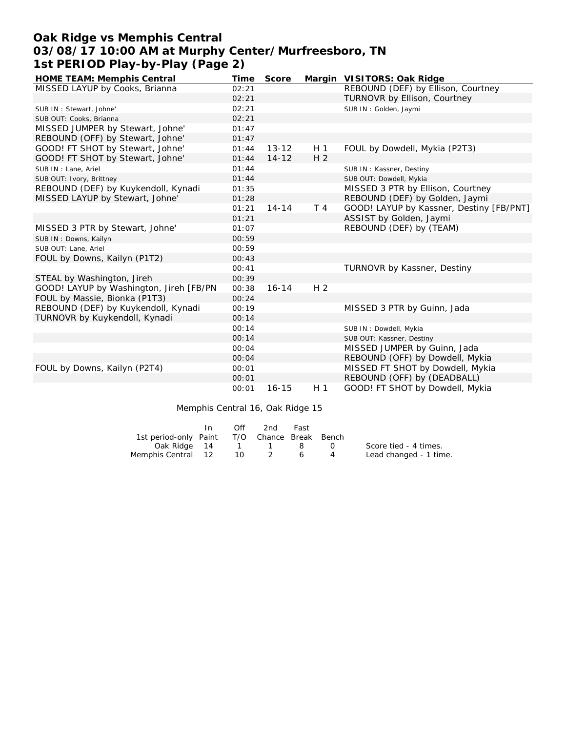# **Oak Ridge vs Memphis Central 03/08/17 10:00 AM at Murphy Center/Murfreesboro, TN 1st PERIOD Play-by-Play (Page 2)**

| HOME TEAM: Memphis Central              | Time  | Score     |                | Margin VISITORS: Oak Ridge               |
|-----------------------------------------|-------|-----------|----------------|------------------------------------------|
| MISSED LAYUP by Cooks, Brianna          | 02:21 |           |                | REBOUND (DEF) by Ellison, Courtney       |
|                                         | 02:21 |           |                | TURNOVR by Ellison, Courtney             |
| SUB IN: Stewart, Johne'                 | 02:21 |           |                | SUB IN: Golden, Jaymi                    |
| SUB OUT: Cooks, Brianna                 | 02:21 |           |                |                                          |
| MISSED JUMPER by Stewart, Johne'        | 01:47 |           |                |                                          |
| REBOUND (OFF) by Stewart, Johne'        | 01:47 |           |                |                                          |
| GOOD! FT SHOT by Stewart, Johne'        | 01:44 | $13 - 12$ | H <sub>1</sub> | FOUL by Dowdell, Mykia (P2T3)            |
| GOOD! FT SHOT by Stewart, Johne'        | 01:44 | $14 - 12$ | H <sub>2</sub> |                                          |
| SUB IN : Lane, Ariel                    | 01:44 |           |                | SUB IN: Kassner, Destiny                 |
| SUB OUT: Ivory, Brittney                | 01:44 |           |                | SUB OUT: Dowdell, Mykia                  |
| REBOUND (DEF) by Kuykendoll, Kynadi     | 01:35 |           |                | MISSED 3 PTR by Ellison, Courtney        |
| MISSED LAYUP by Stewart, Johne'         | 01:28 |           |                | REBOUND (DEF) by Golden, Jaymi           |
|                                         | 01:21 | $14 - 14$ | T 4            | GOOD! LAYUP by Kassner, Destiny [FB/PNT] |
|                                         | 01:21 |           |                | ASSIST by Golden, Jaymi                  |
| MISSED 3 PTR by Stewart, Johne'         | 01:07 |           |                | REBOUND (DEF) by (TEAM)                  |
| SUB IN: Downs, Kailyn                   | 00:59 |           |                |                                          |
| SUB OUT: Lane, Ariel                    | 00:59 |           |                |                                          |
| FOUL by Downs, Kailyn (P1T2)            | 00:43 |           |                |                                          |
|                                         | 00:41 |           |                | TURNOVR by Kassner, Destiny              |
| STEAL by Washington, Jireh              | 00:39 |           |                |                                          |
| GOOD! LAYUP by Washington, Jireh [FB/PN | 00:38 | $16 - 14$ | H <sub>2</sub> |                                          |
| FOUL by Massie, Bionka (P1T3)           | 00:24 |           |                |                                          |
| REBOUND (DEF) by Kuykendoll, Kynadi     | 00:19 |           |                | MISSED 3 PTR by Guinn, Jada              |
| TURNOVR by Kuykendoll, Kynadi           | 00:14 |           |                |                                          |
|                                         | 00:14 |           |                | SUB IN: Dowdell, Mykia                   |
|                                         | 00:14 |           |                | SUB OUT: Kassner, Destiny                |
|                                         | 00:04 |           |                | MISSED JUMPER by Guinn, Jada             |
|                                         | 00:04 |           |                | REBOUND (OFF) by Dowdell, Mykia          |
| FOUL by Downs, Kailyn (P2T4)            | 00:01 |           |                | MISSED FT SHOT by Dowdell, Mykia         |
|                                         | 00:01 |           |                | REBOUND (OFF) by (DEADBALL)              |
|                                         | 00:01 | $16 - 15$ | H <sub>1</sub> | GOOD! FT SHOT by Dowdell, Mykia          |

Memphis Central 16, Oak Ridge 15

|                                              | In. | Off       | 2nd | Fast |           |                        |
|----------------------------------------------|-----|-----------|-----|------|-----------|------------------------|
| 1st period-only Paint T/O Chance Break Bench |     |           |     |      |           |                        |
| Oak Ridge 14 1 1 8                           |     |           |     |      | $\bigcap$ | Score tied - 4 times.  |
| Memphis Central 12                           |     | <b>10</b> |     | 6    |           | Lead changed - 1 time. |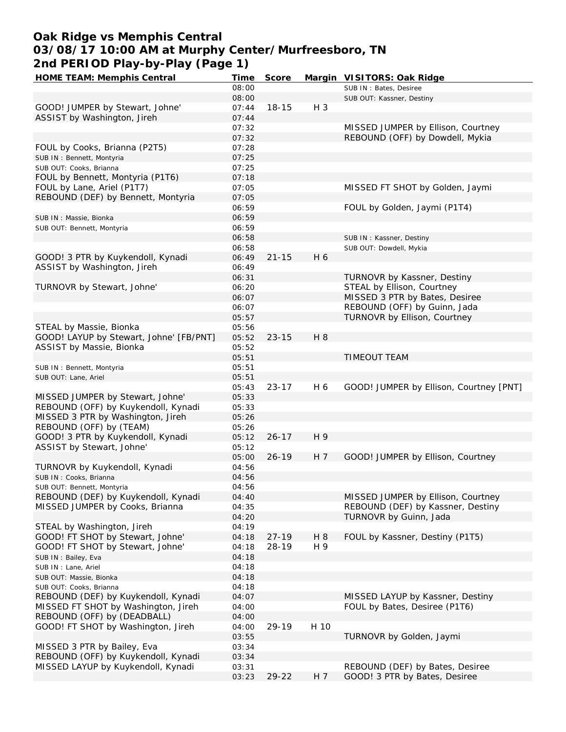# **Oak Ridge vs Memphis Central 03/08/17 10:00 AM at Murphy Center/Murfreesboro, TN 2nd PERIOD Play-by-Play (Page 1)**

| HOME TEAM: Memphis Central                                   | Time  | Score     |       | Margin VISITORS: Oak Ridge              |
|--------------------------------------------------------------|-------|-----------|-------|-----------------------------------------|
|                                                              | 08:00 |           |       | SUB IN: Bates, Desiree                  |
|                                                              | 08:00 |           |       | SUB OUT: Kassner, Destiny               |
| GOOD! JUMPER by Stewart, Johne'                              | 07:44 | $18 - 15$ | $H_3$ |                                         |
| ASSIST by Washington, Jireh                                  | 07:44 |           |       |                                         |
|                                                              | 07:32 |           |       | MISSED JUMPER by Ellison, Courtney      |
|                                                              | 07:32 |           |       | REBOUND (OFF) by Dowdell, Mykia         |
| FOUL by Cooks, Brianna (P2T5)                                | 07:28 |           |       |                                         |
| SUB IN: Bennett, Montyria                                    | 07:25 |           |       |                                         |
| SUB OUT: Cooks, Brianna                                      | 07:25 |           |       |                                         |
| FOUL by Bennett, Montyria (P1T6)                             | 07:18 |           |       |                                         |
| FOUL by Lane, Ariel (P1T7)                                   | 07:05 |           |       | MISSED FT SHOT by Golden, Jaymi         |
| REBOUND (DEF) by Bennett, Montyria                           | 07:05 |           |       |                                         |
|                                                              | 06:59 |           |       | FOUL by Golden, Jaymi (P1T4)            |
|                                                              |       |           |       |                                         |
| SUB IN : Massie, Bionka                                      | 06:59 |           |       |                                         |
| SUB OUT: Bennett, Montyria                                   | 06:59 |           |       |                                         |
|                                                              | 06:58 |           |       | SUB IN: Kassner, Destiny                |
|                                                              | 06:58 |           |       | SUB OUT: Dowdell, Mykia                 |
| GOOD! 3 PTR by Kuykendoll, Kynadi                            | 06:49 | $21 - 15$ | H 6   |                                         |
| ASSIST by Washington, Jireh                                  | 06:49 |           |       |                                         |
|                                                              | 06:31 |           |       | TURNOVR by Kassner, Destiny             |
| TURNOVR by Stewart, Johne'                                   | 06:20 |           |       | STEAL by Ellison, Courtney              |
|                                                              | 06:07 |           |       | MISSED 3 PTR by Bates, Desiree          |
|                                                              | 06:07 |           |       | REBOUND (OFF) by Guinn, Jada            |
|                                                              | 05:57 |           |       | TURNOVR by Ellison, Courtney            |
| STEAL by Massie, Bionka                                      | 05:56 |           |       |                                         |
| GOOD! LAYUP by Stewart, Johne' [FB/PNT]                      | 05:52 | $23 - 15$ | H 8   |                                         |
| ASSIST by Massie, Bionka                                     | 05:52 |           |       |                                         |
|                                                              | 05:51 |           |       | TIMEOUT TEAM                            |
| SUB IN: Bennett, Montyria                                    | 05:51 |           |       |                                         |
| SUB OUT: Lane, Ariel                                         | 05:51 |           |       |                                         |
|                                                              | 05:43 | $23 - 17$ | H 6   | GOOD! JUMPER by Ellison, Courtney [PNT] |
| MISSED JUMPER by Stewart, Johne'                             | 05:33 |           |       |                                         |
| REBOUND (OFF) by Kuykendoll, Kynadi                          | 05:33 |           |       |                                         |
| MISSED 3 PTR by Washington, Jireh                            | 05:26 |           |       |                                         |
|                                                              |       |           |       |                                         |
| REBOUND (OFF) by (TEAM)<br>GOOD! 3 PTR by Kuykendoll, Kynadi | 05:26 |           |       |                                         |
|                                                              | 05:12 | $26 - 17$ | H 9   |                                         |
| ASSIST by Stewart, Johne'                                    | 05:12 |           |       |                                         |
|                                                              | 05:00 | $26 - 19$ | H 7   | GOOD! JUMPER by Ellison, Courtney       |
| TURNOVR by Kuykendoll, Kynadi                                | 04:56 |           |       |                                         |
| SUB IN: Cooks, Brianna                                       | 04:56 |           |       |                                         |
| SUB OUT: Bennett, Montyria                                   | 04:56 |           |       |                                         |
| REBOUND (DEF) by Kuykendoll, Kynadi                          | 04:40 |           |       | MISSED JUMPER by Ellison, Courtney      |
| MISSED JUMPER by Cooks, Brianna                              | 04:35 |           |       | REBOUND (DEF) by Kassner, Destiny       |
|                                                              | 04:20 |           |       | TURNOVR by Guinn, Jada                  |
| STEAL by Washington, Jireh                                   | 04:19 |           |       |                                         |
| GOOD! FT SHOT by Stewart, Johne'                             | 04:18 | $27 - 19$ | H 8   | FOUL by Kassner, Destiny (P1T5)         |
| GOOD! FT SHOT by Stewart, Johne'                             | 04:18 | 28-19     | H 9   |                                         |
| SUB IN: Bailey, Eva                                          | 04:18 |           |       |                                         |
| SUB IN: Lane, Ariel                                          | 04:18 |           |       |                                         |
| SUB OUT: Massie, Bionka                                      | 04:18 |           |       |                                         |
| SUB OUT: Cooks, Brianna                                      | 04:18 |           |       |                                         |
| REBOUND (DEF) by Kuykendoll, Kynadi                          | 04:07 |           |       | MISSED LAYUP by Kassner, Destiny        |
| MISSED FT SHOT by Washington, Jireh                          | 04:00 |           |       | FOUL by Bates, Desiree (P1T6)           |
| REBOUND (OFF) by (DEADBALL)                                  | 04:00 |           |       |                                         |
| GOOD! FT SHOT by Washington, Jireh                           | 04:00 | 29-19     | H 10  |                                         |
|                                                              | 03:55 |           |       | TURNOVR by Golden, Jaymi                |
| MISSED 3 PTR by Bailey, Eva                                  |       |           |       |                                         |
|                                                              | 03:34 |           |       |                                         |
| REBOUND (OFF) by Kuykendoll, Kynadi                          | 03:34 |           |       |                                         |
| MISSED LAYUP by Kuykendoll, Kynadi                           | 03:31 |           |       | REBOUND (DEF) by Bates, Desiree         |
|                                                              | 03:23 | 29-22     | H 7   | GOOD! 3 PTR by Bates, Desiree           |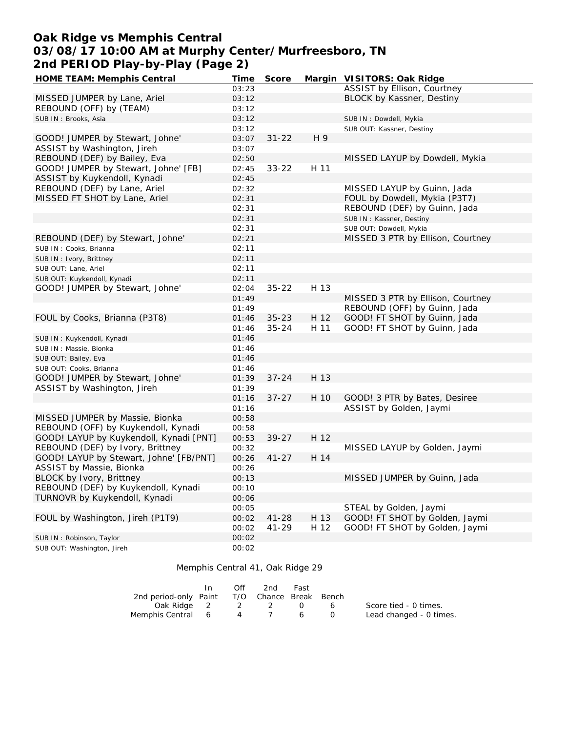# **Oak Ridge vs Memphis Central 03/08/17 10:00 AM at Murphy Center/Murfreesboro, TN 2nd PERIOD Play-by-Play (Page 2)**

| HOME TEAM: Memphis Central              | Time           | Score     |      | Margin VISITORS: Oak Ridge        |
|-----------------------------------------|----------------|-----------|------|-----------------------------------|
|                                         | 03:23          |           |      | ASSIST by Ellison, Courtney       |
| MISSED JUMPER by Lane, Ariel            | 03:12          |           |      | BLOCK by Kassner, Destiny         |
| REBOUND (OFF) by (TEAM)                 | 03:12          |           |      |                                   |
| SUB IN: Brooks, Asia                    | 03:12          |           |      | SUB IN: Dowdell, Mykia            |
|                                         | 03:12          |           |      | SUB OUT: Kassner, Destiny         |
| GOOD! JUMPER by Stewart, Johne'         | 03:07          | $31 - 22$ | H 9  |                                   |
| ASSIST by Washington, Jireh             | 03:07          |           |      |                                   |
| REBOUND (DEF) by Bailey, Eva            | 02:50          |           |      | MISSED LAYUP by Dowdell, Mykia    |
| GOOD! JUMPER by Stewart, Johne' [FB]    | 02:45          | $33 - 22$ | H 11 |                                   |
| ASSIST by Kuykendoll, Kynadi            | 02:45          |           |      |                                   |
| REBOUND (DEF) by Lane, Ariel            | 02:32          |           |      | MISSED LAYUP by Guinn, Jada       |
| MISSED FT SHOT by Lane, Ariel           | 02:31          |           |      | FOUL by Dowdell, Mykia (P3T7)     |
|                                         |                |           |      |                                   |
|                                         | 02:31<br>02:31 |           |      | REBOUND (DEF) by Guinn, Jada      |
|                                         |                |           |      | SUB IN: Kassner, Destiny          |
|                                         | 02:31          |           |      | SUB OUT: Dowdell, Mykia           |
| REBOUND (DEF) by Stewart, Johne'        | 02:21          |           |      | MISSED 3 PTR by Ellison, Courtney |
| SUB IN: Cooks, Brianna                  | 02:11          |           |      |                                   |
| SUB IN: Ivory, Brittney                 | 02:11          |           |      |                                   |
| SUB OUT: Lane, Ariel                    | 02:11          |           |      |                                   |
| SUB OUT: Kuykendoll, Kynadi             | 02:11          |           |      |                                   |
| GOOD! JUMPER by Stewart, Johne'         | 02:04          | $35 - 22$ | H 13 |                                   |
|                                         | 01:49          |           |      | MISSED 3 PTR by Ellison, Courtney |
|                                         | 01:49          |           |      | REBOUND (OFF) by Guinn, Jada      |
| FOUL by Cooks, Brianna (P3T8)           | 01:46          | $35 - 23$ | H 12 | GOOD! FT SHOT by Guinn, Jada      |
|                                         | 01:46          | $35 - 24$ | H 11 | GOOD! FT SHOT by Guinn, Jada      |
| SUB IN: Kuykendoll, Kynadi              | 01:46          |           |      |                                   |
| SUB IN: Massie, Bionka                  | 01:46          |           |      |                                   |
| SUB OUT: Bailey, Eva                    | 01:46          |           |      |                                   |
| SUB OUT: Cooks, Brianna                 | 01:46          |           |      |                                   |
| GOOD! JUMPER by Stewart, Johne'         | 01:39          | $37 - 24$ | H 13 |                                   |
| ASSIST by Washington, Jireh             | 01:39          |           |      |                                   |
|                                         | 01:16          | $37 - 27$ | H 10 | GOOD! 3 PTR by Bates, Desiree     |
|                                         | 01:16          |           |      | ASSIST by Golden, Jaymi           |
| MISSED JUMPER by Massie, Bionka         | 00:58          |           |      |                                   |
| REBOUND (OFF) by Kuykendoll, Kynadi     | 00:58          |           |      |                                   |
| GOOD! LAYUP by Kuykendoll, Kynadi [PNT] | 00:53          | $39 - 27$ | H 12 |                                   |
| REBOUND (DEF) by Ivory, Brittney        | 00:32          |           |      | MISSED LAYUP by Golden, Jaymi     |
| GOOD! LAYUP by Stewart, Johne' [FB/PNT] | 00:26          | $41 - 27$ | H 14 |                                   |
| ASSIST by Massie, Bionka                | 00:26          |           |      |                                   |
| BLOCK by Ivory, Brittney                | 00:13          |           |      | MISSED JUMPER by Guinn, Jada      |
| REBOUND (DEF) by Kuykendoll, Kynadi     | 00:10          |           |      |                                   |
| TURNOVR by Kuykendoll, Kynadi           | 00:06          |           |      |                                   |
|                                         |                |           |      | STEAL by Golden, Jaymi            |
| FOUL by Washington, Jireh (P1T9)        | 00:05          |           | H 13 | GOOD! FT SHOT by Golden, Jaymi    |
|                                         | 00:02          | 41-28     |      |                                   |
|                                         | 00:02          | $41 - 29$ | H 12 | GOOD! FT SHOT by Golden, Jaymi    |
| SUB IN: Robinson, Taylor                | 00:02          |           |      |                                   |
| SUB OUT: Washington, Jireh              | 00:02          |           |      |                                   |

#### Memphis Central 41, Oak Ridge 29

|                                              | In. | Off | 2nd | Fast          |   |                         |
|----------------------------------------------|-----|-----|-----|---------------|---|-------------------------|
| 2nd period-only Paint T/O Chance Break Bench |     |     |     |               |   |                         |
| Oak Ridge 2 2 2                              |     |     |     | $\cup$ $\cup$ | 6 | Score tied - 0 times.   |
| Memphis Central 6                            |     |     | 4 7 | $\sim$ 6      |   | Lead changed - 0 times. |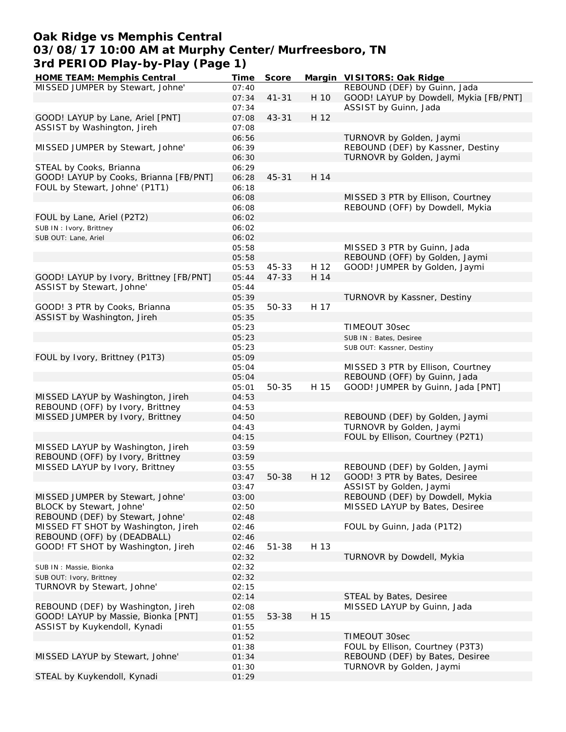## **Oak Ridge vs Memphis Central 03/08/17 10:00 AM at Murphy Center/Murfreesboro, TN 3rd PERIOD Play-by-Play (Page 1)**

| HOME TEAM: Memphis Central              | Time  | Score     |      | Margin VISITORS: Oak Ridge             |
|-----------------------------------------|-------|-----------|------|----------------------------------------|
| MISSED JUMPER by Stewart, Johne'        | 07:40 |           |      | REBOUND (DEF) by Guinn, Jada           |
|                                         | 07:34 | $41 - 31$ | H 10 | GOOD! LAYUP by Dowdell, Mykia [FB/PNT] |
|                                         | 07:34 |           |      | ASSIST by Guinn, Jada                  |
| GOOD! LAYUP by Lane, Ariel [PNT]        | 07:08 | $43 - 31$ | H 12 |                                        |
| ASSIST by Washington, Jireh             | 07:08 |           |      |                                        |
|                                         | 06:56 |           |      | TURNOVR by Golden, Jaymi               |
| MISSED JUMPER by Stewart, Johne'        | 06:39 |           |      | REBOUND (DEF) by Kassner, Destiny      |
|                                         | 06:30 |           |      | TURNOVR by Golden, Jaymi               |
| STEAL by Cooks, Brianna                 | 06:29 |           |      |                                        |
| GOOD! LAYUP by Cooks, Brianna [FB/PNT]  | 06:28 | $45 - 31$ | H 14 |                                        |
|                                         |       |           |      |                                        |
| FOUL by Stewart, Johne' (P1T1)          | 06:18 |           |      | MISSED 3 PTR by Ellison, Courtney      |
|                                         | 06:08 |           |      |                                        |
|                                         | 06:08 |           |      | REBOUND (OFF) by Dowdell, Mykia        |
| FOUL by Lane, Ariel (P2T2)              | 06:02 |           |      |                                        |
| SUB IN: Ivory, Brittney                 | 06:02 |           |      |                                        |
| SUB OUT: Lane, Ariel                    | 06:02 |           |      |                                        |
|                                         | 05:58 |           |      | MISSED 3 PTR by Guinn, Jada            |
|                                         | 05:58 |           |      | REBOUND (OFF) by Golden, Jaymi         |
|                                         | 05:53 | 45-33     | H 12 | GOOD! JUMPER by Golden, Jaymi          |
| GOOD! LAYUP by Ivory, Brittney [FB/PNT] | 05:44 | $47 - 33$ | H 14 |                                        |
| ASSIST by Stewart, Johne'               | 05:44 |           |      |                                        |
|                                         | 05:39 |           |      | TURNOVR by Kassner, Destiny            |
| GOOD! 3 PTR by Cooks, Brianna           | 05:35 | 50-33     | H 17 |                                        |
| ASSIST by Washington, Jireh             | 05:35 |           |      |                                        |
|                                         | 05:23 |           |      | TIMEOUT 30sec                          |
|                                         | 05:23 |           |      | SUB IN: Bates, Desiree                 |
|                                         | 05:23 |           |      | SUB OUT: Kassner, Destiny              |
| FOUL by Ivory, Brittney (P1T3)          | 05:09 |           |      |                                        |
|                                         | 05:04 |           |      | MISSED 3 PTR by Ellison, Courtney      |
|                                         | 05:04 |           |      | REBOUND (OFF) by Guinn, Jada           |
|                                         | 05:01 | 50-35     | H 15 | GOOD! JUMPER by Guinn, Jada [PNT]      |
| MISSED LAYUP by Washington, Jireh       | 04:53 |           |      |                                        |
| REBOUND (OFF) by Ivory, Brittney        | 04:53 |           |      |                                        |
| MISSED JUMPER by Ivory, Brittney        | 04:50 |           |      | REBOUND (DEF) by Golden, Jaymi         |
|                                         | 04:43 |           |      | TURNOVR by Golden, Jaymi               |
|                                         | 04:15 |           |      | FOUL by Ellison, Courtney (P2T1)       |
| MISSED LAYUP by Washington, Jireh       | 03:59 |           |      |                                        |
| REBOUND (OFF) by Ivory, Brittney        |       |           |      |                                        |
|                                         | 03:59 |           |      |                                        |
| MISSED LAYUP by Ivory, Brittney         | 03:55 |           |      | REBOUND (DEF) by Golden, Jaymi         |
|                                         | 03:47 | 50-38     | H 12 | GOOD! 3 PTR by Bates, Desiree          |
|                                         | 03:47 |           |      | ASSIST by Golden, Jaymi                |
| MISSED JUMPER by Stewart, Johne'        | 03:00 |           |      | REBOUND (DEF) by Dowdell, Mykia        |
| BLOCK by Stewart, Johne'                | 02:50 |           |      | MISSED LAYUP by Bates, Desiree         |
| REBOUND (DEF) by Stewart, Johne'        | 02:48 |           |      |                                        |
| MISSED FT SHOT by Washington, Jireh     | 02:46 |           |      | FOUL by Guinn, Jada (P1T2)             |
| REBOUND (OFF) by (DEADBALL)             | 02:46 |           |      |                                        |
| GOOD! FT SHOT by Washington, Jireh      | 02:46 | $51 - 38$ | H 13 |                                        |
|                                         | 02:32 |           |      | TURNOVR by Dowdell, Mykia              |
| SUB IN : Massie, Bionka                 | 02:32 |           |      |                                        |
| SUB OUT: Ivory, Brittney                | 02:32 |           |      |                                        |
| TURNOVR by Stewart, Johne'              | 02:15 |           |      |                                        |
|                                         | 02:14 |           |      | STEAL by Bates, Desiree                |
| REBOUND (DEF) by Washington, Jireh      | 02:08 |           |      | MISSED LAYUP by Guinn, Jada            |
| GOOD! LAYUP by Massie, Bionka [PNT]     | 01:55 | 53-38     | H 15 |                                        |
| ASSIST by Kuykendoll, Kynadi            | 01:55 |           |      |                                        |
|                                         | 01:52 |           |      | TIMEOUT 30sec                          |
|                                         | 01:38 |           |      | FOUL by Ellison, Courtney (P3T3)       |
| MISSED LAYUP by Stewart, Johne'         | 01:34 |           |      | REBOUND (DEF) by Bates, Desiree        |
|                                         | 01:30 |           |      | TURNOVR by Golden, Jaymi               |
| STEAL by Kuykendoll, Kynadi             | 01:29 |           |      |                                        |
|                                         |       |           |      |                                        |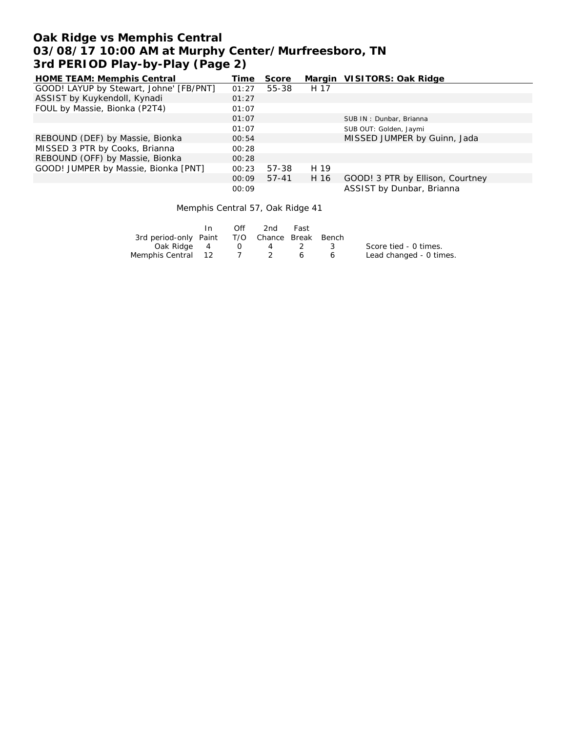# **Oak Ridge vs Memphis Central 03/08/17 10:00 AM at Murphy Center/Murfreesboro, TN 3rd PERIOD Play-by-Play (Page 2)**

| <b>HOME TEAM: Memphis Central</b>       | Time  | Score     |      | Margin VISITORS: Oak Ridge       |
|-----------------------------------------|-------|-----------|------|----------------------------------|
| GOOD! LAYUP by Stewart, Johne' [FB/PNT] | 01:27 | 55-38     | H 17 |                                  |
| ASSIST by Kuykendoll, Kynadi            | 01:27 |           |      |                                  |
| FOUL by Massie, Bionka (P2T4)           | 01:07 |           |      |                                  |
|                                         | 01:07 |           |      | SUB IN: Dunbar, Brianna          |
|                                         | 01:07 |           |      | SUB OUT: Golden, Jaymi           |
| REBOUND (DEF) by Massie, Bionka         | 00:54 |           |      | MISSED JUMPER by Guinn, Jada     |
| MISSED 3 PTR by Cooks, Brianna          | 00:28 |           |      |                                  |
| REBOUND (OFF) by Massie, Bionka         | 00:28 |           |      |                                  |
| GOOD! JUMPER by Massie, Bionka [PNT]    | 00:23 | 57-38     | H 19 |                                  |
|                                         | 00:09 | $57 - 41$ | H 16 | GOOD! 3 PTR by Ellison, Courtney |
|                                         | 00:09 |           |      | ASSIST by Dunbar, Brianna        |

Memphis Central 57, Oak Ridge 41

|                                              | Off    | 2nd | Fast |     |                         |
|----------------------------------------------|--------|-----|------|-----|-------------------------|
| 3rd period-only Paint T/O Chance Break Bench |        |     |      |     |                         |
| Oak Ridge 4                                  | $\cup$ | 4   |      | - 3 | Score tied - 0 times.   |
| Memphis Central 12                           |        |     | 6    |     | Lead changed - 0 times. |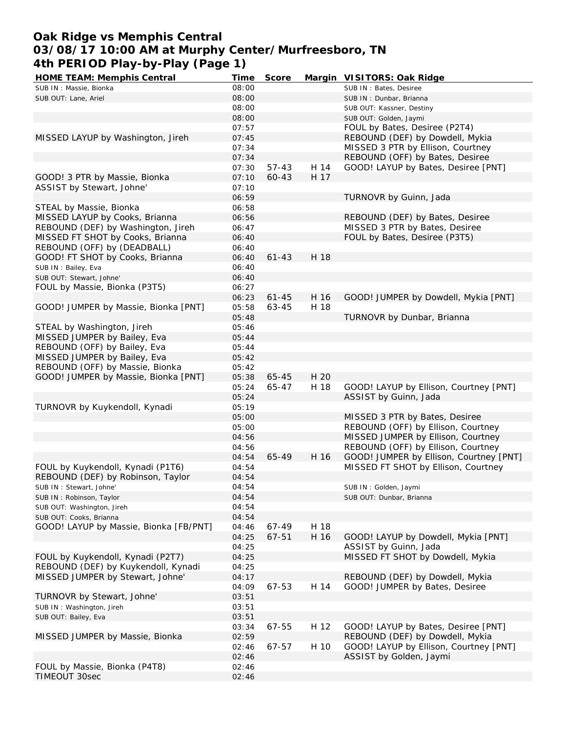## **Oak Ridge vs Memphis Central 03/08/17 10:00 AM at Murphy Center/Murfreesboro, TN 4th PERIOD Play-by-Play (Page 1)**

| HOME TEAM: Memphis Central             | <b>Time</b> | Score     |      | Margin VISITORS: Oak Ridge              |
|----------------------------------------|-------------|-----------|------|-----------------------------------------|
| SUB IN : Massie, Bionka                | 08:00       |           |      | SUB IN: Bates, Desiree                  |
| SUB OUT: Lane, Ariel                   | 08:00       |           |      | SUB IN: Dunbar, Brianna                 |
|                                        | 08:00       |           |      | SUB OUT: Kassner, Destiny               |
|                                        | 08:00       |           |      | SUB OUT: Golden, Jaymi                  |
|                                        | 07:57       |           |      | FOUL by Bates, Desiree (P2T4)           |
| MISSED LAYUP by Washington, Jireh      | 07:45       |           |      | REBOUND (DEF) by Dowdell, Mykia         |
|                                        | 07:34       |           |      | MISSED 3 PTR by Ellison, Courtney       |
|                                        | 07:34       |           |      | REBOUND (OFF) by Bates, Desiree         |
|                                        | 07:30       | $57 - 43$ | H 14 | GOOD! LAYUP by Bates, Desiree [PNT]     |
| GOOD! 3 PTR by Massie, Bionka          | 07:10       | 60-43     | H 17 |                                         |
|                                        | 07:10       |           |      |                                         |
| ASSIST by Stewart, Johne'              |             |           |      |                                         |
|                                        | 06:59       |           |      | TURNOVR by Guinn, Jada                  |
| STEAL by Massie, Bionka                | 06:58       |           |      |                                         |
| MISSED LAYUP by Cooks, Brianna         | 06:56       |           |      | REBOUND (DEF) by Bates, Desiree         |
| REBOUND (DEF) by Washington, Jireh     | 06:47       |           |      | MISSED 3 PTR by Bates, Desiree          |
| MISSED FT SHOT by Cooks, Brianna       | 06:40       |           |      | FOUL by Bates, Desiree (P3T5)           |
| REBOUND (OFF) by (DEADBALL)            | 06:40       |           |      |                                         |
| GOOD! FT SHOT by Cooks, Brianna        | 06:40       | $61 - 43$ | H 18 |                                         |
| SUB IN: Bailey, Eva                    | 06:40       |           |      |                                         |
| SUB OUT: Stewart, Johne'               | 06:40       |           |      |                                         |
| FOUL by Massie, Bionka (P3T5)          | 06:27       |           |      |                                         |
|                                        | 06:23       | $61 - 45$ | H 16 | GOOD! JUMPER by Dowdell, Mykia [PNT]    |
| GOOD! JUMPER by Massie, Bionka [PNT]   | 05:58       | 63-45     | H 18 |                                         |
|                                        | 05:48       |           |      | TURNOVR by Dunbar, Brianna              |
| STEAL by Washington, Jireh             | 05:46       |           |      |                                         |
| MISSED JUMPER by Bailey, Eva           | 05:44       |           |      |                                         |
| REBOUND (OFF) by Bailey, Eva           | 05:44       |           |      |                                         |
| MISSED JUMPER by Bailey, Eva           | 05:42       |           |      |                                         |
| REBOUND (OFF) by Massie, Bionka        | 05:42       |           |      |                                         |
|                                        |             |           | H 20 |                                         |
| GOOD! JUMPER by Massie, Bionka [PNT]   | 05:38       | 65-45     |      |                                         |
|                                        | 05:24       | 65-47     | H 18 | GOOD! LAYUP by Ellison, Courtney [PNT]  |
|                                        | 05:24       |           |      | ASSIST by Guinn, Jada                   |
| TURNOVR by Kuykendoll, Kynadi          | 05:19       |           |      |                                         |
|                                        | 05:00       |           |      | MISSED 3 PTR by Bates, Desiree          |
|                                        | 05:00       |           |      | REBOUND (OFF) by Ellison, Courtney      |
|                                        | 04:56       |           |      | MISSED JUMPER by Ellison, Courtney      |
|                                        | 04:56       |           |      | REBOUND (OFF) by Ellison, Courtney      |
|                                        | 04:54       | 65-49     | H 16 | GOOD! JUMPER by Ellison, Courtney [PNT] |
| FOUL by Kuykendoll, Kynadi (P1T6)      | 04:54       |           |      | MISSED FT SHOT by Ellison, Courtney     |
| REBOUND (DEF) by Robinson, Taylor      | 04:54       |           |      |                                         |
| SUB IN: Stewart, Johne'                | 04:54       |           |      | SUB IN: Golden, Jaymi                   |
| SUB IN: Robinson, Taylor               | 04:54       |           |      | SUB OUT: Dunbar, Brianna                |
| SUB OUT: Washington, Jireh             | 04:54       |           |      |                                         |
| SUB OUT: Cooks, Brianna                | 04:54       |           |      |                                         |
| GOOD! LAYUP by Massie, Bionka [FB/PNT] | 04:46       | 67-49     | H 18 |                                         |
|                                        | 04:25       | $67 - 51$ | H 16 | GOOD! LAYUP by Dowdell, Mykia [PNT]     |
|                                        | 04:25       |           |      | ASSIST by Guinn, Jada                   |
| FOUL by Kuykendoll, Kynadi (P2T7)      | 04:25       |           |      | MISSED FT SHOT by Dowdell, Mykia        |
| REBOUND (DEF) by Kuykendoll, Kynadi    | 04:25       |           |      |                                         |
| MISSED JUMPER by Stewart, Johne'       | 04:17       |           |      | REBOUND (DEF) by Dowdell, Mykia         |
|                                        |             |           |      |                                         |
|                                        | 04:09       | 67-53     | H 14 | GOOD! JUMPER by Bates, Desiree          |
| TURNOVR by Stewart, Johne'             | 03:51       |           |      |                                         |
| SUB IN: Washington, Jireh              | 03:51       |           |      |                                         |
| SUB OUT: Bailey, Eva                   | 03:51       |           |      |                                         |
|                                        | 03:34       | 67-55     | H 12 | GOOD! LAYUP by Bates, Desiree [PNT]     |
| MISSED JUMPER by Massie, Bionka        | 02:59       |           |      | REBOUND (DEF) by Dowdell, Mykia         |
|                                        | 02:46       | 67-57     | H 10 | GOOD! LAYUP by Ellison, Courtney [PNT]  |
|                                        | 02:46       |           |      | ASSIST by Golden, Jaymi                 |
| FOUL by Massie, Bionka (P4T8)          | 02:46       |           |      |                                         |
| TIMEOUT 30sec                          | 02:46       |           |      |                                         |
|                                        |             |           |      |                                         |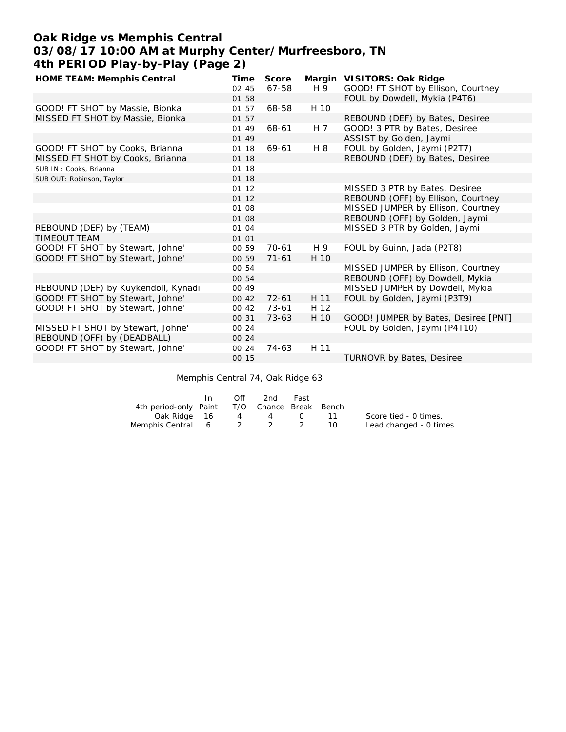# **Oak Ridge vs Memphis Central 03/08/17 10:00 AM at Murphy Center/Murfreesboro, TN 4th PERIOD Play-by-Play (Page 2)**

| HOME TEAM: Memphis Central          | Time  | Score     |                | Margin VISITORS: Oak Ridge           |
|-------------------------------------|-------|-----------|----------------|--------------------------------------|
|                                     | 02:45 | 67-58     | H 9            | GOOD! FT SHOT by Ellison, Courtney   |
|                                     | 01:58 |           |                | FOUL by Dowdell, Mykia (P4T6)        |
| GOOD! FT SHOT by Massie, Bionka     | 01:57 | 68-58     | H 10           |                                      |
| MISSED FT SHOT by Massie, Bionka    | 01:57 |           |                | REBOUND (DEF) by Bates, Desiree      |
|                                     | 01:49 | 68-61     | H <sub>7</sub> | GOOD! 3 PTR by Bates, Desiree        |
|                                     | 01:49 |           |                | ASSIST by Golden, Jaymi              |
| GOOD! FT SHOT by Cooks, Brianna     | 01:18 | 69-61     | H 8            | FOUL by Golden, Jaymi (P2T7)         |
| MISSED FT SHOT by Cooks, Brianna    | 01:18 |           |                | REBOUND (DEF) by Bates, Desiree      |
| SUB IN: Cooks, Brianna              | 01:18 |           |                |                                      |
| SUB OUT: Robinson, Taylor           | 01:18 |           |                |                                      |
|                                     | 01:12 |           |                | MISSED 3 PTR by Bates, Desiree       |
|                                     | 01:12 |           |                | REBOUND (OFF) by Ellison, Courtney   |
|                                     | 01:08 |           |                | MISSED JUMPER by Ellison, Courtney   |
|                                     | 01:08 |           |                | REBOUND (OFF) by Golden, Jaymi       |
| REBOUND (DEF) by (TEAM)             | 01:04 |           |                | MISSED 3 PTR by Golden, Jaymi        |
| <b>TIMEOUT TEAM</b>                 | 01:01 |           |                |                                      |
| GOOD! FT SHOT by Stewart, Johne'    | 00:59 | $70 - 61$ | H 9            | FOUL by Guinn, Jada (P2T8)           |
| GOOD! FT SHOT by Stewart, Johne'    | 00:59 | $71 - 61$ | H 10           |                                      |
|                                     | 00:54 |           |                | MISSED JUMPER by Ellison, Courtney   |
|                                     | 00:54 |           |                | REBOUND (OFF) by Dowdell, Mykia      |
| REBOUND (DEF) by Kuykendoll, Kynadi | 00:49 |           |                | MISSED JUMPER by Dowdell, Mykia      |
| GOOD! FT SHOT by Stewart, Johne'    | 00:42 | $72 - 61$ | H 11           | FOUL by Golden, Jaymi (P3T9)         |
| GOOD! FT SHOT by Stewart, Johne'    | 00:42 | 73-61     | H 12           |                                      |
|                                     | 00:31 | $73 - 63$ | H 10           | GOOD! JUMPER by Bates, Desiree [PNT] |
| MISSED FT SHOT by Stewart, Johne'   | 00:24 |           |                | FOUL by Golden, Jaymi (P4T10)        |
| REBOUND (OFF) by (DEADBALL)         | 00:24 |           |                |                                      |
| GOOD! FT SHOT by Stewart, Johne'    | 00:24 | $74-63$   | H 11           |                                      |
|                                     | 00:15 |           |                | <b>TURNOVR by Bates, Desiree</b>     |

Memphis Central 74, Oak Ridge 63

|                                              | In. | Off | 2nd | Fast   |        |                         |
|----------------------------------------------|-----|-----|-----|--------|--------|-------------------------|
| 4th period-only Paint T/O Chance Break Bench |     |     |     |        |        |                         |
| Oak Ridge 16                                 |     | 4   | 4   | $\cup$ |        | Score tied - 0 times.   |
| Memphis Central 6 2 2 2                      |     |     |     |        | - 10 - | Lead changed - 0 times. |